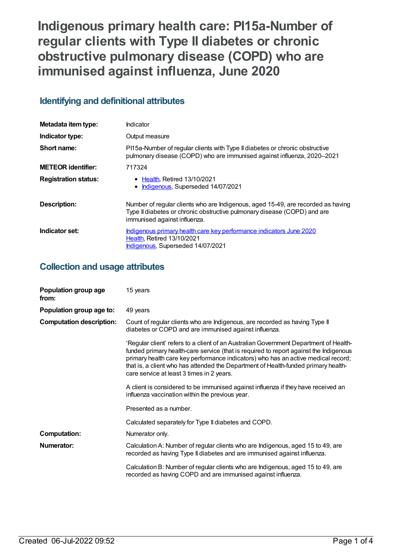**Indigenous primary health care: PI15a-Number of regular clients with Type II diabetes or chronic obstructive pulmonary disease (COPD) who are immunised against influenza, June 2020**

## **Identifying and definitional attributes**

| Metadata item type:         | Indicator                                                                                                                                                                                    |
|-----------------------------|----------------------------------------------------------------------------------------------------------------------------------------------------------------------------------------------|
| Indicator type:             | Output measure                                                                                                                                                                               |
| Short name:                 | PI15a-Number of regular clients with Type II diabetes or chronic obstructive<br>pulmonary disease (COPD) who are immunised against influenza, 2020–2021                                      |
| <b>METEOR identifier:</b>   | 717324                                                                                                                                                                                       |
| <b>Registration status:</b> | • Health, Retired 13/10/2021<br>Indigenous, Superseded 14/07/2021                                                                                                                            |
| <b>Description:</b>         | Number of regular clients who are Indigenous, aged 15-49, are recorded as having<br>Type II diabetes or chronic obstructive pulmonary disease (COPD) and are<br>immunised against influenza. |
| Indicator set:              | Indigenous primary health care key performance indicators June 2020<br><b>Health, Retired 13/10/2021</b><br>Indigenous, Superseded 14/07/2021                                                |

## **Collection and usage attributes**

| Population group age<br>from:   | 15 years                                                                                                                                                                                                                                                                                                                                                                                               |
|---------------------------------|--------------------------------------------------------------------------------------------------------------------------------------------------------------------------------------------------------------------------------------------------------------------------------------------------------------------------------------------------------------------------------------------------------|
| Population group age to:        | 49 years                                                                                                                                                                                                                                                                                                                                                                                               |
| <b>Computation description:</b> | Count of regular clients who are Indigenous, are recorded as having Type II<br>diabetes or COPD and are immunised against influenza.                                                                                                                                                                                                                                                                   |
|                                 | 'Regular client' refers to a client of an Australian Government Department of Health-<br>funded primary health-care service (that is required to report against the Indigenous<br>primary health care key performance indicators) who has an active medical record;<br>that is, a client who has attended the Department of Health-funded primary health-<br>care service at least 3 times in 2 years. |
|                                 | A client is considered to be immunised against influenza if they have received an<br>influenza vaccination within the previous year.                                                                                                                                                                                                                                                                   |
|                                 | Presented as a number.                                                                                                                                                                                                                                                                                                                                                                                 |
|                                 | Calculated separately for Type II diabetes and COPD.                                                                                                                                                                                                                                                                                                                                                   |
| <b>Computation:</b>             | Numerator only.                                                                                                                                                                                                                                                                                                                                                                                        |
| Numerator:                      | Calculation A: Number of regular clients who are Indigenous, aged 15 to 49, are<br>recorded as having Type II diabetes and are immunised against influenza.                                                                                                                                                                                                                                            |
|                                 | Calculation B: Number of regular clients who are Indigenous, aged 15 to 49, are<br>recorded as having COPD and are immunised against influenza.                                                                                                                                                                                                                                                        |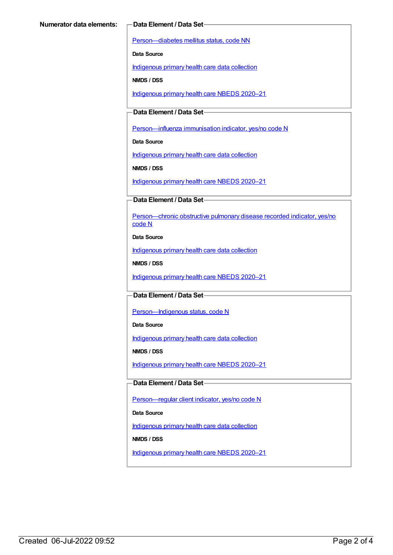[Person—diabetes](https://meteor.aihw.gov.au/content/270194) mellitus status, code NN

**Data Source**

[Indigenous](https://meteor.aihw.gov.au/content/430643) primary health care data collection

**NMDS / DSS**

[Indigenous](https://meteor.aihw.gov.au/content/715320) primary health care NBEDS 2020–21

### **Data Element / Data Set**

[Person—influenza](https://meteor.aihw.gov.au/content/457688) immunisation indicator, yes/no code N

**Data Source**

[Indigenous](https://meteor.aihw.gov.au/content/430643) primary health care data collection

**NMDS / DSS**

[Indigenous](https://meteor.aihw.gov.au/content/715320) primary health care NBEDS 2020–21

#### **Data Element / Data Set**

[Person—chronic](https://meteor.aihw.gov.au/content/464928) obstructive pulmonary disease recorded indicator, yes/no code N

**Data Source**

[Indigenous](https://meteor.aihw.gov.au/content/430643) primary health care data collection

**NMDS / DSS**

[Indigenous](https://meteor.aihw.gov.au/content/715320) primary health care NBEDS 2020–21

#### **Data Element / Data Set**

Person-Indigenous status, code N

**Data Source**

[Indigenous](https://meteor.aihw.gov.au/content/430643) primary health care data collection

**NMDS / DSS**

[Indigenous](https://meteor.aihw.gov.au/content/715320) primary health care NBEDS 2020–21

#### **Data Element / Data Set**

[Person—regular](https://meteor.aihw.gov.au/content/686291) client indicator, yes/no code N

**Data Source**

[Indigenous](https://meteor.aihw.gov.au/content/430643) primary health care data collection

**NMDS / DSS**

[Indigenous](https://meteor.aihw.gov.au/content/715320) primary health care NBEDS 2020–21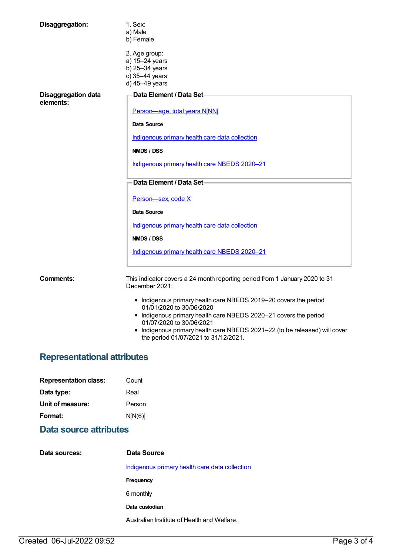| Disaggregation:                         | 1. Sex:<br>a) Male<br>b) Female                                                               |
|-----------------------------------------|-----------------------------------------------------------------------------------------------|
|                                         | 2. Age group:<br>a) 15-24 years<br>b) 25-34 years<br>c) 35-44 years<br>d) 45-49 years         |
| <b>Disaggregation data</b><br>elements: | Data Element / Data Set-<br>Person-age, total years N[NN]                                     |
|                                         |                                                                                               |
|                                         | Data Source                                                                                   |
|                                         | Indigenous primary health care data collection                                                |
|                                         | NMDS / DSS                                                                                    |
|                                         | Indigenous primary health care NBEDS 2020-21                                                  |
|                                         | Data Element / Data Set-                                                                      |
|                                         | Person-sex, code X                                                                            |
|                                         | <b>Data Source</b>                                                                            |
|                                         | Indigenous primary health care data collection                                                |
|                                         | NMDS / DSS                                                                                    |
|                                         | Indigenous primary health care NBEDS 2020-21                                                  |
| <b>Comments:</b>                        | This indicator covers a 24 month reporting period from 1 January 2020 to 31<br>December 2021: |
|                                         | • Indigenous primary health care NBEDS 2019-20 covers the period                              |

- 01/01/2020 to 30/06/2020
- Indigenous primary health care NBEDS 2020-21 covers the period 01/07/2020 to 30/06/2021
- Indigenous primary health care NBEDS 2021-22 (to be released) will cover the period 01/07/2021 to 31/12/2021.

## **Representational attributes**

| Count   |
|---------|
| Real    |
| Person  |
| N[N(6)] |
|         |

# **Data source attributes**

| Data sources: | Data Source                                    |
|---------------|------------------------------------------------|
|               | Indigenous primary health care data collection |
|               | Frequency                                      |
|               | 6 monthly                                      |
|               | Data custodian                                 |
|               | Australian Institute of Health and Welfare.    |